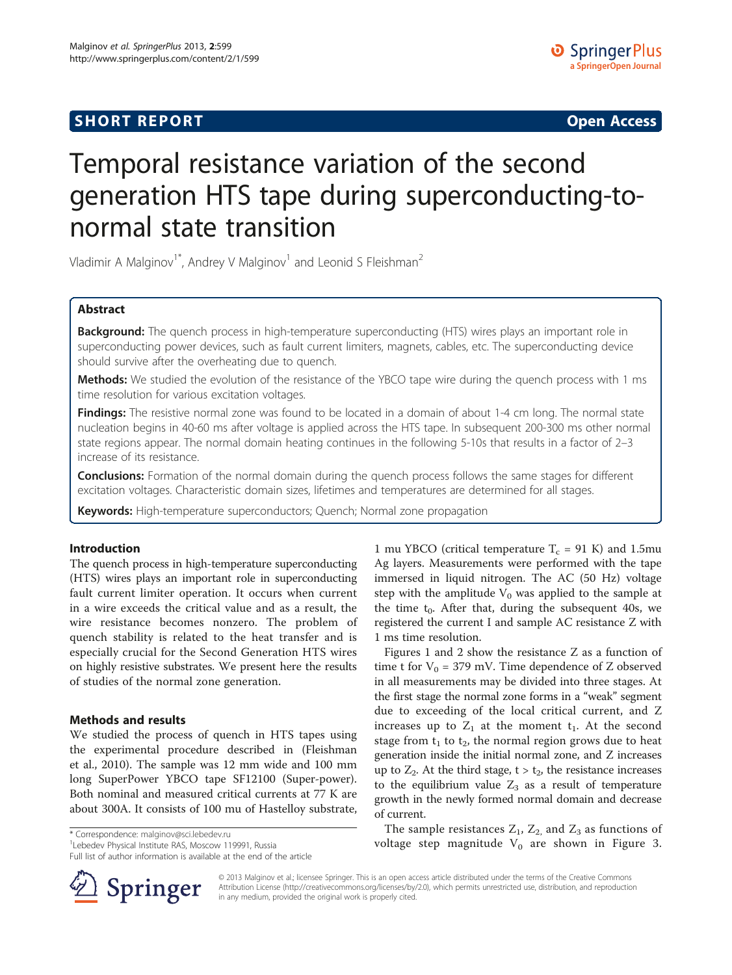# **SHORT REPORT SHORT CONSTRUCTED AT A SEXUAL CONSTRUCT OF A SEXUAL CONSTRUCTION OPEN Access**

# Temporal resistance variation of the second generation HTS tape during superconducting-tonormal state transition

Vladimir A Malginov<sup>1</sup><sup>\*</sup>, Andrey V Malginov<sup>1</sup> and Leonid S Fleishman<sup>2</sup>

# Abstract

Background: The quench process in high-temperature superconducting (HTS) wires plays an important role in superconducting power devices, such as fault current limiters, magnets, cables, etc. The superconducting device should survive after the overheating due to quench.

Methods: We studied the evolution of the resistance of the YBCO tape wire during the quench process with 1 ms time resolution for various excitation voltages.

Findings: The resistive normal zone was found to be located in a domain of about 1-4 cm long. The normal state nucleation begins in 40-60 ms after voltage is applied across the HTS tape. In subsequent 200-300 ms other normal state regions appear. The normal domain heating continues in the following 5-10s that results in a factor of 2–3 increase of its resistance.

**Conclusions:** Formation of the normal domain during the quench process follows the same stages for different excitation voltages. Characteristic domain sizes, lifetimes and temperatures are determined for all stages.

Keywords: High-temperature superconductors; Quench; Normal zone propagation

# Introduction

The quench process in high-temperature superconducting (HTS) wires plays an important role in superconducting fault current limiter operation. It occurs when current in a wire exceeds the critical value and as a result, the wire resistance becomes nonzero. The problem of quench stability is related to the heat transfer and is especially crucial for the Second Generation HTS wires on highly resistive substrates. We present here the results of studies of the normal zone generation.

### Methods and results

We studied the process of quench in HTS tapes using the experimental procedure described in (Fleishman et al., [2010](#page-3-0)). The sample was 12 mm wide and 100 mm long SuperPower YBCO tape SF12100 ([Super-power](#page-3-0)). Both nominal and measured critical currents at 77 K are about 300A. It consists of 100 mu of Hastelloy substrate,

Full list of author information is available at the end of the article



1 mu YBCO (critical temperature  $T_c = 91$  K) and 1.5mu Ag layers. Measurements were performed with the tape immersed in liquid nitrogen. The AC (50 Hz) voltage step with the amplitude  $V_0$  was applied to the sample at the time  $t_0$ . After that, during the subsequent 40s, we registered the current I and sample AC resistance Z with 1 ms time resolution.

Figures [1](#page-1-0) and [2](#page-1-0) show the resistance Z as a function of time t for  $V_0 = 379$  mV. Time dependence of Z observed in all measurements may be divided into three stages. At the first stage the normal zone forms in a "weak" segment due to exceeding of the local critical current, and Z increases up to  $Z_1$  at the moment  $t_1$ . At the second stage from  $t_1$  to  $t_2$ , the normal region grows due to heat generation inside the initial normal zone, and Z increases up to  $Z_2$ . At the third stage,  $t > t_2$ , the resistance increases to the equilibrium value  $Z_3$  as a result of temperature growth in the newly formed normal domain and decrease of current.

The sample resistances  $Z_1$ ,  $Z_2$ , and  $Z_3$  as functions of voltage step magnitude V0 are shown in Figure [3](#page-2-0). \* Correspondence: [malginov@sci.lebedev.ru](mailto:malginov@sci.lebedev.ru) <sup>1</sup>

> © 2013 Malginov et al.; licensee Springer. This is an open access article distributed under the terms of the Creative Commons Attribution License [\(http://creativecommons.org/licenses/by/2.0\)](http://creativecommons.org/licenses/by/2.0), which permits unrestricted use, distribution, and reproduction in any medium, provided the original work is properly cited.

<sup>&</sup>lt;sup>1</sup> Lebedev Physical Institute RAS, Moscow 119991, Russia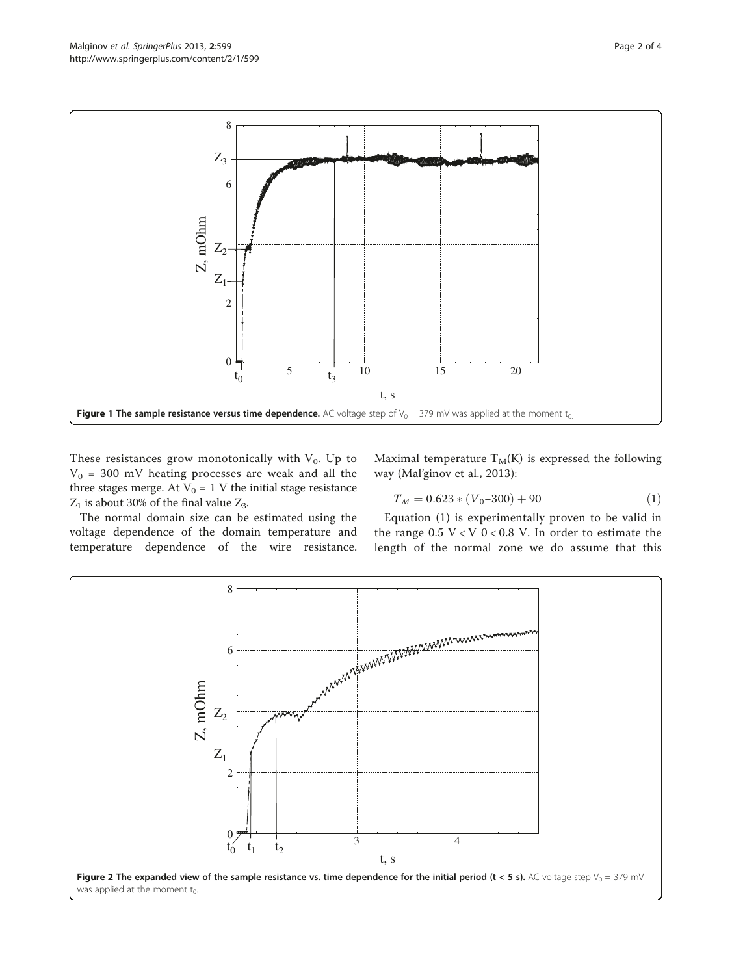<span id="page-1-0"></span>

These resistances grow monotonically with  $V_0$ . Up to  $V_0$  = 300 mV heating processes are weak and all the three stages merge. At V<sub>0</sub> = 1 V the initial stage resistance  $Z_1$  is about 30% of the final value  $Z_3$ .

Maximal temperature  $T_M(K)$  is expressed the following way (Mal'ginov et al., [2013\)](#page-3-0):

$$
T_M = 0.623 \times (V_0 - 300) + 90 \tag{1}
$$

The normal domain size can be estimated using the voltage dependence of the domain temperature and temperature dependence of the wire resistance.

Equation (1) is experimentally proven to be valid in the range  $0.5 \text{ V} < \text{V}$  0 < 0.8 V. In order to estimate the length of the normal zone we do assume that this

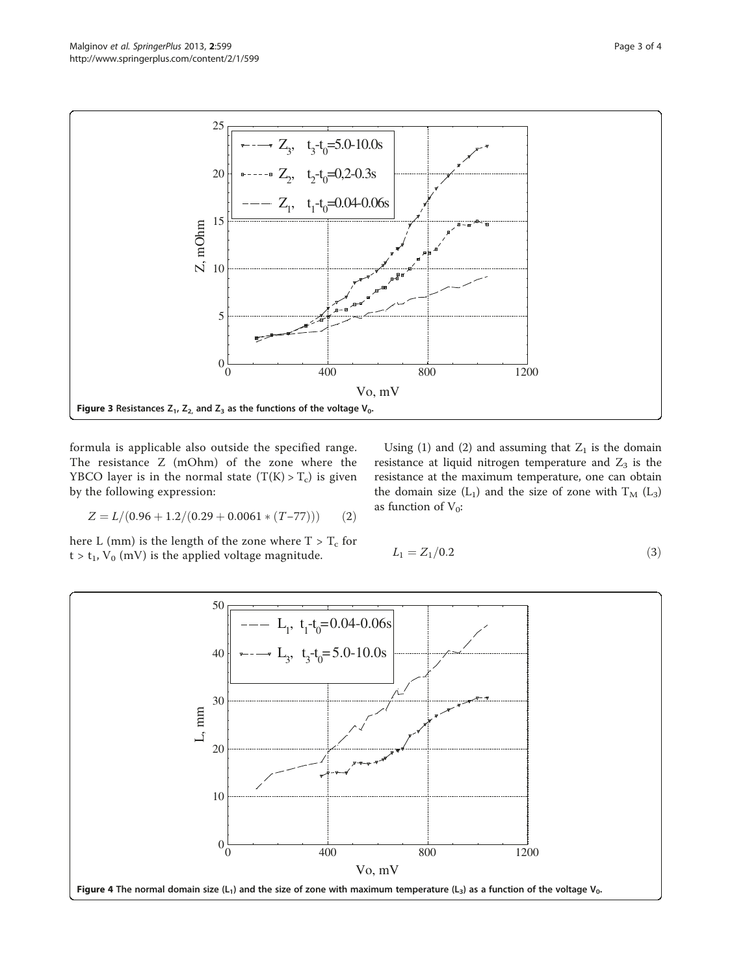<span id="page-2-0"></span>

formula is applicable also outside the specified range. The resistance Z (mOhm) of the zone where the YBCO layer is in the normal state  $(T(K) > T_c)$  is given by the following expression:

 $Z = L/(0.96 + 1.2/(0.29 + 0.0061 * (T - 77)))$  (2)

here L (mm) is the length of the zone where  $T > T_c$  for  $t > t_1$ ,  $V_0$  (mV) is the applied voltage magnitude.

Using (1) and (2) and assuming that  $Z_1$  is the domain resistance at liquid nitrogen temperature and  $Z_3$  is the resistance at the maximum temperature, one can obtain the domain size  $(L_1)$  and the size of zone with  $T_M$   $(L_3)$ as function of  $V_0$ :

$$
L_1 = Z_1 / 0.2 \tag{3}
$$